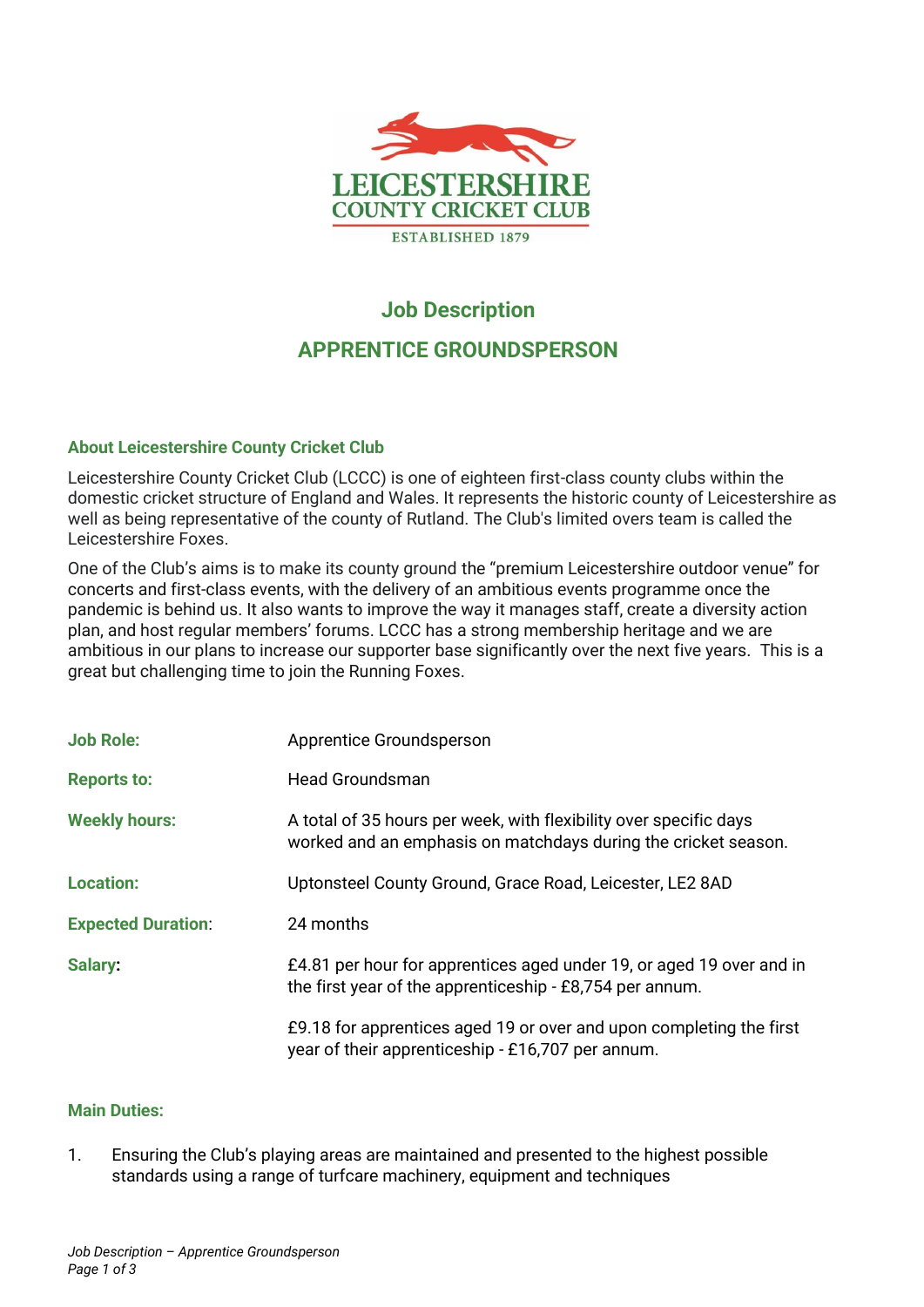

# **Job Description APPRENTICE GROUNDSPERSON**

# **About Leicestershire County Cricket Club**

Leicestershire County Cricket Club (LCCC) is one of eighteen first-class county clubs within the domestic cricket structure of England and Wales. It represents the historic county of Leicestershire as well as being representative of the county of Rutland. The Club's limited overs team is called the Leicestershire Foxes.

One of the Club's aims is to make its county ground the "premium Leicestershire outdoor venue" for concerts and first-class events, with the delivery of an ambitious events programme once the pandemic is behind us. It also wants to improve the way it manages staff, create a diversity action plan, and host regular members' forums. LCCC has a strong membership heritage and we are ambitious in our plans to increase our supporter base significantly over the next five years. This is a great but challenging time to join the Running Foxes.

| <b>Job Role:</b>          | Apprentice Groundsperson                                                                                                            |
|---------------------------|-------------------------------------------------------------------------------------------------------------------------------------|
| <b>Reports to:</b>        | <b>Head Groundsman</b>                                                                                                              |
| <b>Weekly hours:</b>      | A total of 35 hours per week, with flexibility over specific days<br>worked and an emphasis on matchdays during the cricket season. |
| <b>Location:</b>          | Uptonsteel County Ground, Grace Road, Leicester, LE2 8AD                                                                            |
| <b>Expected Duration:</b> | 24 months                                                                                                                           |
| Salary:                   | £4.81 per hour for apprentices aged under 19, or aged 19 over and in<br>the first year of the apprenticeship - £8,754 per annum.    |
|                           | £9.18 for apprentices aged 19 or over and upon completing the first<br>year of their apprenticeship - £16,707 per annum.            |

## **Main Duties:**

1. Ensuring the Club's playing areas are maintained and presented to the highest possible standards using a range of turfcare machinery, equipment and techniques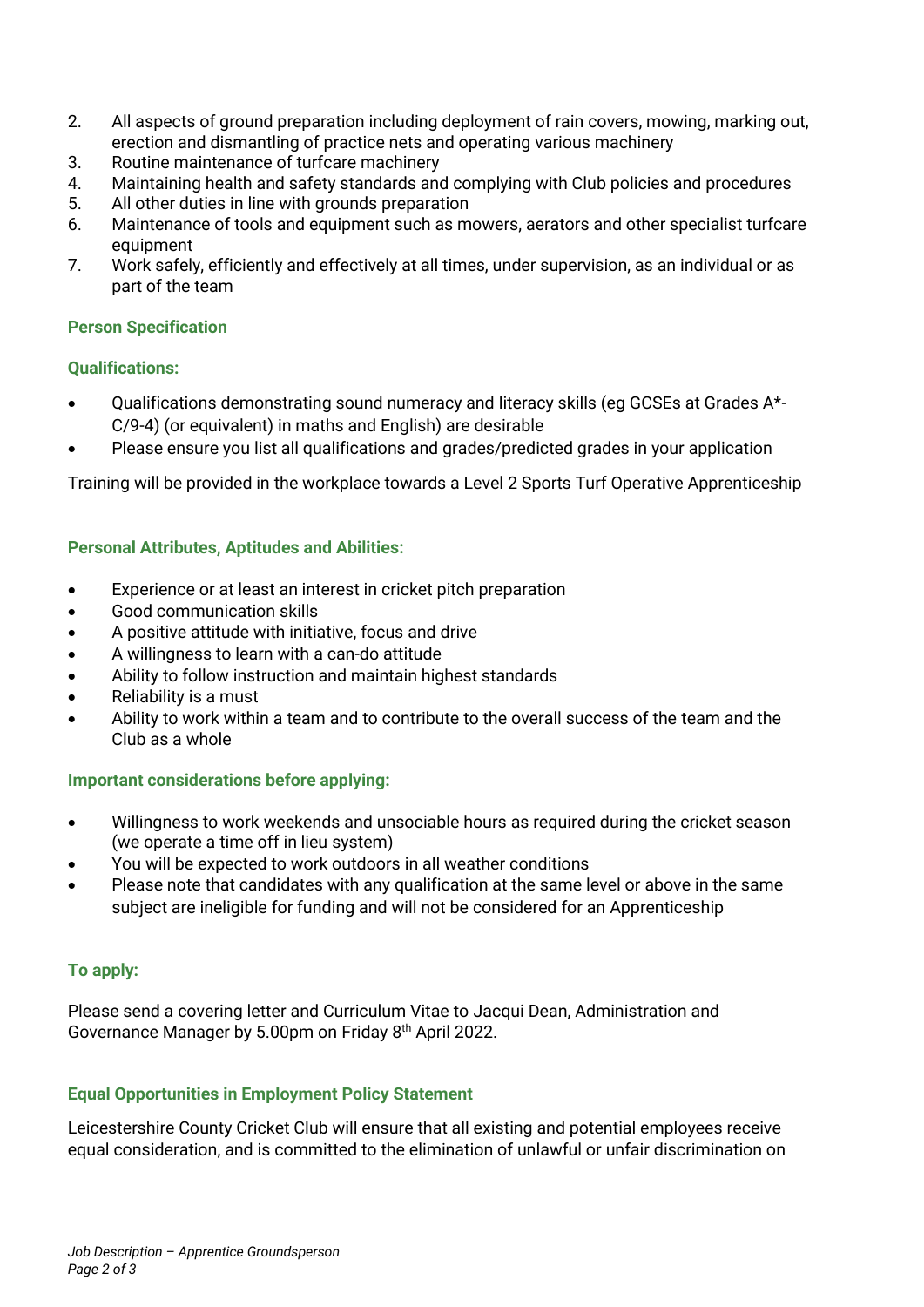- 2. All aspects of ground preparation including deployment of rain covers, mowing, marking out, erection and dismantling of practice nets and operating various machinery
- 3. Routine maintenance of turfcare machinery
- 4. Maintaining health and safety standards and complying with Club policies and procedures
- 5. All other duties in line with grounds preparation
- 6. Maintenance of tools and equipment such as mowers, aerators and other specialist turfcare equipment
- 7. Work safely, efficiently and effectively at all times, under supervision, as an individual or as part of the team

## **Person Specification**

## **Qualifications:**

- Qualifications demonstrating sound numeracy and literacy skills (eg GCSEs at Grades A\*- C/9-4) (or equivalent) in maths and English) are desirable
- Please ensure you list all qualifications and grades/predicted grades in your application

Training will be provided in the workplace towards a Level 2 Sports Turf Operative Apprenticeship

# **Personal Attributes, Aptitudes and Abilities:**

- Experience or at least an interest in cricket pitch preparation
- Good communication skills
- A positive attitude with initiative, focus and drive
- A willingness to learn with a can-do attitude
- Ability to follow instruction and maintain highest standards
- Reliability is a must
- Ability to work within a team and to contribute to the overall success of the team and the Club as a whole

# **Important considerations before applying:**

- Willingness to work weekends and unsociable hours as required during the cricket season (we operate a time off in lieu system)
- You will be expected to work outdoors in all weather conditions
- Please note that candidates with any qualification at the same level or above in the same subject are ineligible for funding and will not be considered for an Apprenticeship

## **To apply:**

Please send a covering letter and Curriculum Vitae to Jacqui Dean, Administration and Governance Manager by 5.00pm on Friday 8<sup>th</sup> April 2022.

## **Equal Opportunities in Employment Policy Statement**

Leicestershire County Cricket Club will ensure that all existing and potential employees receive equal consideration, and is committed to the elimination of unlawful or unfair discrimination on